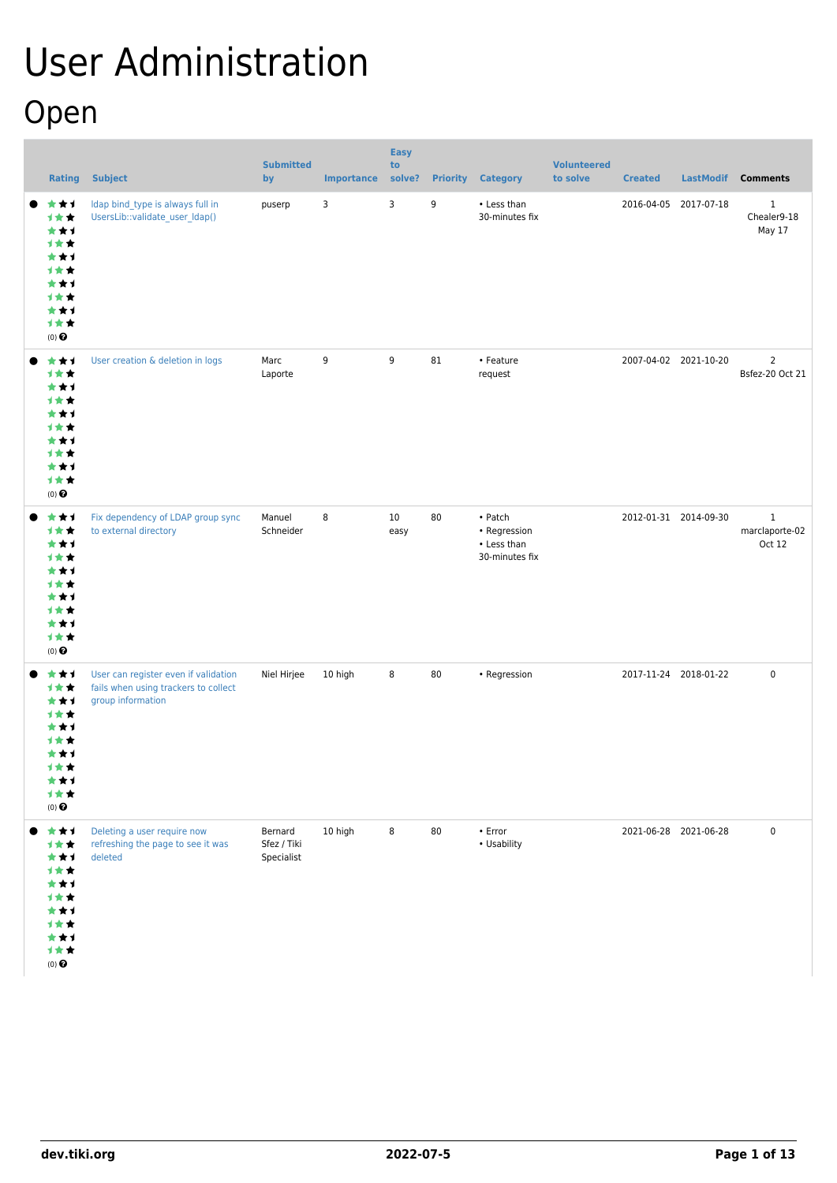# User Administration Open

| <b>Rating</b>                                                                                 | <b>Subject</b>                                                                                    | <b>Submitted</b><br>by               | <b>Importance</b> | <b>Easy</b><br>to<br>solve? |    | <b>Priority Category</b>                                 | <b>Volunteered</b><br>to solve | <b>Created</b>        | <b>LastModif</b>      | <b>Comments</b>                       |
|-----------------------------------------------------------------------------------------------|---------------------------------------------------------------------------------------------------|--------------------------------------|-------------------|-----------------------------|----|----------------------------------------------------------|--------------------------------|-----------------------|-----------------------|---------------------------------------|
| ***<br>1★★<br>***<br>计女女<br>***<br>计女女<br>***<br>计女女<br>***<br>计女女<br>$(0)$ $\odot$           | Idap bind_type is always full in<br>UsersLib::validate_user_Idap()                                | puserp                               | 3                 | 3                           | 9  | • Less than<br>30-minutes fix                            |                                | 2016-04-05 2017-07-18 |                       | $\mathbf{1}$<br>Chealer9-18<br>May 17 |
| ***<br>计女女<br>***<br>计女女<br>***<br>计女女<br>***<br>计女女<br>***<br>计女女<br>$(0)$<br>$\pmb{\Theta}$ | User creation & deletion in logs                                                                  | Marc<br>Laporte                      | 9                 | 9                           | 81 | • Feature<br>request                                     |                                | 2007-04-02 2021-10-20 |                       | $\overline{2}$<br>Bsfez-20 Oct 21     |
| ***<br>计女女<br>***<br>计女女<br>***<br>计女女<br>***<br>计女女<br>***<br>计女女<br>$(0)$ $\odot$           | Fix dependency of LDAP group sync<br>to external directory                                        | Manuel<br>Schneider                  | 8                 | 10<br>easy                  | 80 | • Patch<br>• Regression<br>• Less than<br>30-minutes fix |                                | 2012-01-31 2014-09-30 |                       | $\,1$<br>marclaporte-02<br>Oct 12     |
| ***<br>计女女<br>***<br>计女女<br>***<br>1**<br>***<br>1★★<br>***<br>计女女<br>$(0)$ $\odot$           | User can register even if validation<br>fails when using trackers to collect<br>group information | Niel Hirjee                          | 10 high           | 8                           | 80 | • Regression                                             |                                | 2017-11-24 2018-01-22 |                       | $\mathbf 0$                           |
| ***<br>计女女<br>***<br>计女女<br>***<br>1★★<br>***<br>计女女<br>***<br>计女女<br>$(0)$ $\odot$           | Deleting a user require now<br>refreshing the page to see it was<br>deleted                       | Bernard<br>Sfez / Tiki<br>Specialist | 10 high           | 8                           | 80 | • Error<br>• Usability                                   |                                |                       | 2021-06-28 2021-06-28 | $\pmb{0}$                             |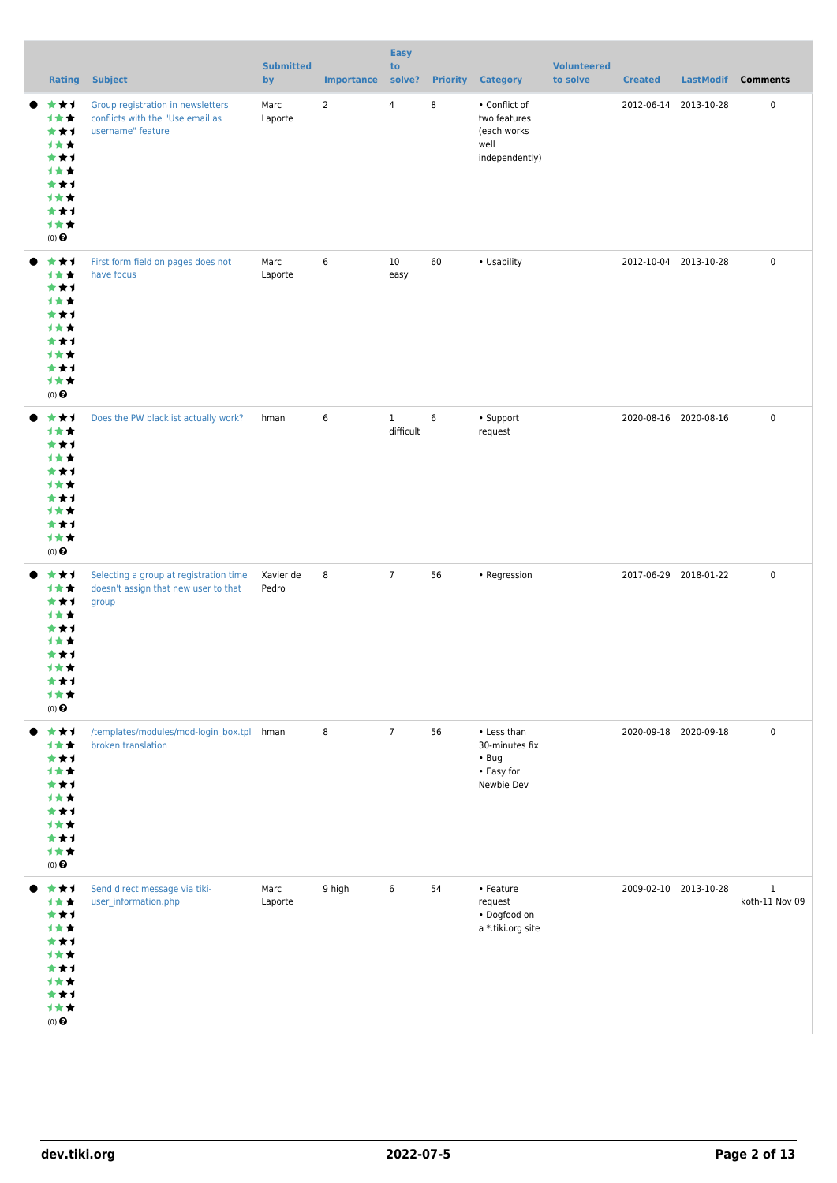| <b>Rating</b>                                                                                 | <b>Subject</b>                                                                             | <b>Submitted</b><br>by | <b>Importance</b> | <b>Easy</b><br>to<br>solve? |    | <b>Priority Category</b>                                                 | <b>Volunteered</b><br>to solve | <b>Created</b>        | <b>LastModif</b>      | <b>Comments</b>                |
|-----------------------------------------------------------------------------------------------|--------------------------------------------------------------------------------------------|------------------------|-------------------|-----------------------------|----|--------------------------------------------------------------------------|--------------------------------|-----------------------|-----------------------|--------------------------------|
| ***<br>1★★<br>***<br>计女女<br>***<br>计女女<br>***<br>计女女<br>***<br>计女女<br>$(0)$ $\odot$           | Group registration in newsletters<br>conflicts with the "Use email as<br>username" feature | Marc<br>Laporte        | $\overline{2}$    | $\overline{4}$              | 8  | • Conflict of<br>two features<br>(each works<br>well<br>independently)   |                                | 2012-06-14 2013-10-28 |                       | $\mathbf 0$                    |
| ***<br>计女女<br>***<br>计女女<br>***<br>1★★<br>***<br>***<br>***<br>计女女<br>$(0)$<br>$\pmb{\Theta}$ | First form field on pages does not<br>have focus                                           | Marc<br>Laporte        | 6                 | 10<br>easy                  | 60 | • Usability                                                              |                                | 2012-10-04 2013-10-28 |                       | 0                              |
| ***<br>1★★<br>***<br>***<br>***<br>***<br>***<br>计女女<br>***<br>计女女<br>$(0)$ $\odot$           | Does the PW blacklist actually work?                                                       | hman                   | 6                 | $\mathbf{1}$<br>difficult   | 6  | • Support<br>request                                                     |                                | 2020-08-16 2020-08-16 |                       | 0                              |
| ***<br>计女女<br>***<br>计女女<br>***<br>计女女<br>***<br>计女女<br>***<br>1★★<br>$(0)$ $\odot$           | Selecting a group at registration time<br>doesn't assign that new user to that<br>group    | Xavier de<br>Pedro     | 8                 | $7\overline{ }$             | 56 | • Regression                                                             |                                | 2017-06-29 2018-01-22 |                       | 0                              |
| ***<br>计女女<br>***<br>计女女<br>***<br>计女女<br>***<br>计女女<br>***<br>计女女<br>$(0)$ $\odot$           | /templates/modules/mod-login_box.tpl hman<br>broken translation                            |                        | 8                 | $7\overline{ }$             | 56 | • Less than<br>30-minutes fix<br>$\cdot$ Bug<br>• Easy for<br>Newbie Dev |                                |                       | 2020-09-18 2020-09-18 | 0                              |
| ***<br>计女女<br>***<br>1★★<br>***<br>计女女<br>***<br>计女女<br>***<br>计女女<br>$(0)$ $\pmb{\Theta}$    | Send direct message via tiki-<br>user_information.php                                      | Marc<br>Laporte        | 9 high            | 6                           | 54 | • Feature<br>request<br>• Dogfood on<br>a *.tiki.org site                |                                | 2009-02-10 2013-10-28 |                       | $\mathbf{1}$<br>koth-11 Nov 09 |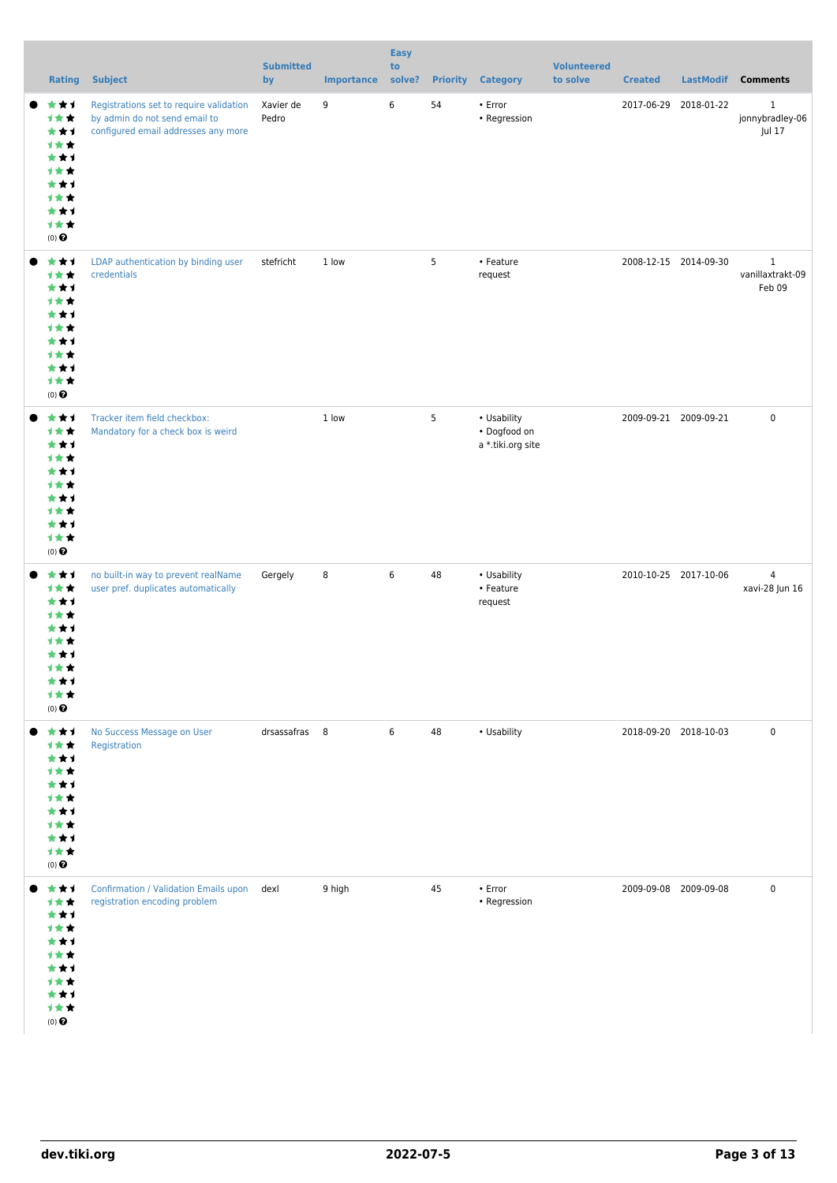| <b>Rating</b>                                                                                 | <b>Subject</b>                                                                                                  | <b>Submitted</b><br>by | <b>Importance</b> | <b>Easy</b><br>to<br>solve? |    | <b>Priority Category</b>                         | <b>Volunteered</b><br>to solve | <b>Created</b>        | LastModif Comments                         |
|-----------------------------------------------------------------------------------------------|-----------------------------------------------------------------------------------------------------------------|------------------------|-------------------|-----------------------------|----|--------------------------------------------------|--------------------------------|-----------------------|--------------------------------------------|
| ***<br>1★★<br>***<br>1★★<br>***<br>计女女<br>***<br>计女女<br>***<br>计女女<br>$(0)$ $\odot$           | Registrations set to require validation<br>by admin do not send email to<br>configured email addresses any more | Xavier de<br>Pedro     | 9                 | 6                           | 54 | • Error<br>• Regression                          |                                | 2017-06-29 2018-01-22 | $\mathbf{1}$<br>jonnybradley-06<br>Jul 17  |
| ***<br>计女女<br>***<br>计女女<br>***<br>计女女<br>***<br>1★★<br>***<br>计女女<br>$(0)$<br>$\pmb{\Theta}$ | LDAP authentication by binding user<br>credentials                                                              | stefricht              | 1 low             |                             | 5  | • Feature<br>request                             |                                | 2008-12-15 2014-09-30 | $\mathbf{1}$<br>vanillaxtrakt-09<br>Feb 09 |
| ***<br>1★★<br>***<br>1★★<br>***<br>1★★<br>***<br>计女女<br>***<br>计女女<br>$(0)$ $\odot$           | Tracker item field checkbox:<br>Mandatory for a check box is weird                                              |                        | 1 low             |                             | 5  | • Usability<br>• Dogfood on<br>a *.tiki.org site |                                | 2009-09-21 2009-09-21 | $\mathbf 0$                                |
| ***<br>计女女<br>***<br>计女女<br>***<br>计女女<br>***<br>计女女<br>***<br>计女女<br>$(0)$ $\odot$           | no built-in way to prevent realName<br>user pref. duplicates automatically                                      | Gergely                | 8                 | 6                           | 48 | • Usability<br>• Feature<br>request              |                                | 2010-10-25 2017-10-06 | $\overline{4}$<br>xavi-28 Jun 16           |
| ***<br>计女女<br>***<br>***<br>***<br>计女女<br>***<br>***<br>***<br>计女女<br>$(0)$ $\odot$           | No Success Message on User<br>Registration                                                                      | drsassafras 8          |                   | 6                           | 48 | • Usability                                      |                                | 2018-09-20 2018-10-03 | $\mathbf 0$                                |
| ***<br>计女女<br>***<br>1★★<br>***<br>计女女<br>***<br>计女女<br>***<br>计女女<br>$(0)$ $\odot$           | <b>Confirmation / Validation Emails upon</b><br>registration encoding problem                                   | dexl                   | 9 high            |                             | 45 | • Error<br>• Regression                          |                                | 2009-09-08 2009-09-08 | $\mathbf 0$                                |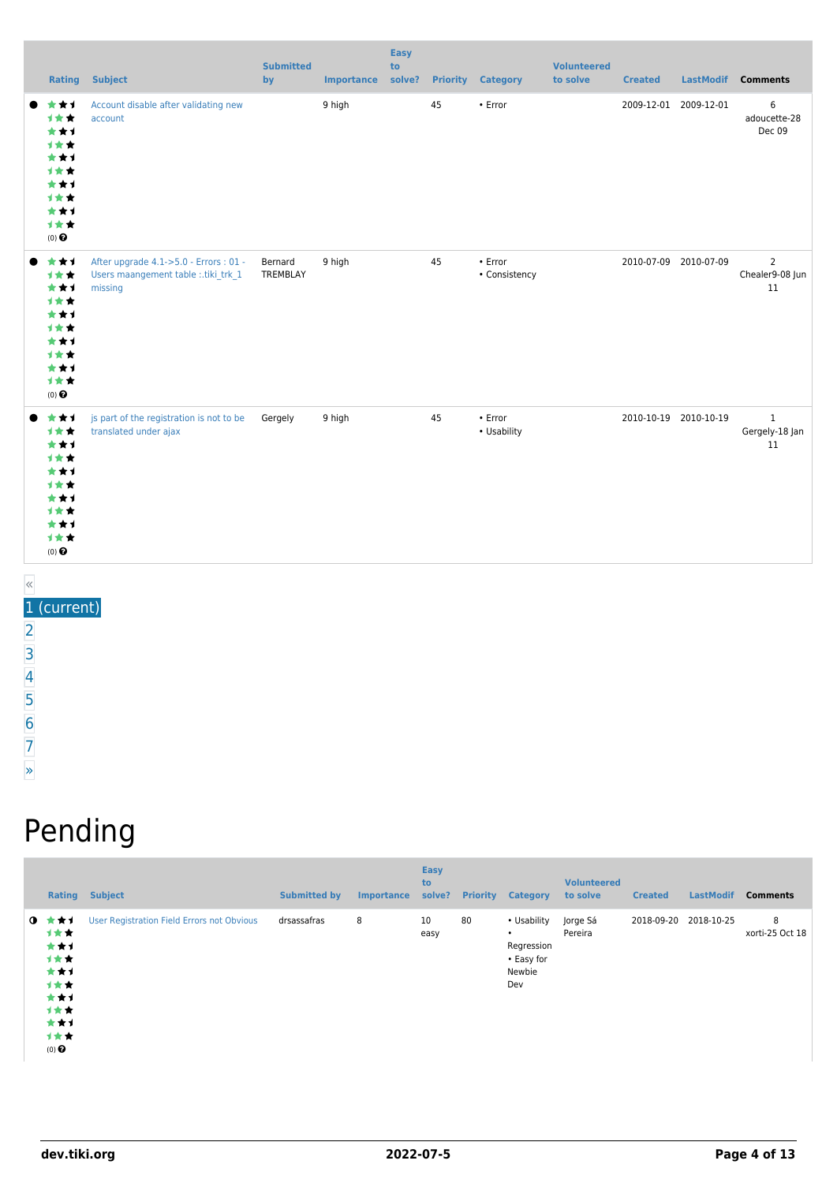|                                                                                     | <b>Rating Subject</b>                                                                   | <b>Submitted</b><br>by | <b>Importance</b> | <b>Easy</b><br>to<br>solve? |    | <b>Priority Category</b>       | <b>Volunteered</b><br>to solve | <b>Created</b> | LastModif             | <b>Comments</b>                         |
|-------------------------------------------------------------------------------------|-----------------------------------------------------------------------------------------|------------------------|-------------------|-----------------------------|----|--------------------------------|--------------------------------|----------------|-----------------------|-----------------------------------------|
| *1<br>1★★<br>***<br>1★★<br>***<br>1★★<br>***<br>1★★<br>***<br>计女女<br>$(0)$ $\odot$  | Account disable after validating new<br>account                                         |                        | 9 high            |                             | 45 | • Error                        |                                |                | 2009-12-01 2009-12-01 | 6<br>adoucette-28<br>Dec 09             |
| ***<br>1★★<br>***<br>1★★<br>***<br>1★★<br>***<br>1★★<br>***<br>计女女<br>$(0)$ $\odot$ | After upgrade 4.1->5.0 - Errors: 01 -<br>Users maangement table :.tiki_trk_1<br>missing | Bernard<br>TREMBLAY    | 9 high            |                             | 45 | $\cdot$ Error<br>• Consistency |                                |                | 2010-07-09 2010-07-09 | $\overline{2}$<br>Chealer9-08 Jun<br>11 |
| ***<br>***<br>***<br>***<br>***<br>***<br>***<br>1**<br>***<br>计女女<br>$(0)$ $\odot$ | js part of the registration is not to be<br>translated under ajax                       | Gergely                | 9 high            |                             | 45 | $\cdot$ Error<br>• Usability   |                                |                | 2010-10-19 2010-10-19 | $\mathbf{1}$<br>Gergely-18 Jan<br>11    |

### «

1 (current)

[2](https://dev.tiki.org/tiki-print.php?page=User+Administration&tr_offset1=20)

[3](https://dev.tiki.org/tiki-print.php?page=User+Administration&tr_offset1=40)

[4](https://dev.tiki.org/tiki-print.php?page=User+Administration&tr_offset1=60)

[5](https://dev.tiki.org/tiki-print.php?page=User+Administration&tr_offset1=80)

[6](https://dev.tiki.org/tiki-print.php?page=User+Administration&tr_offset1=100)

[7](https://dev.tiki.org/tiki-print.php?page=User+Administration&tr_offset1=120)

[»](https://dev.tiki.org/tiki-print.php?page=User+Administration&tr_offset1=20)

## Pending

| Rating                                                                                                | <b>Subject</b>                             | <b>Submitted by</b> | <b>Importance</b> | <b>Easy</b><br>to<br>solve? | <b>Priority</b> | <b>Category</b>                                                       | <b>Volunteered</b><br>to solve | <b>Created</b> | <b>LastModif</b> | <b>Comments</b>      |
|-------------------------------------------------------------------------------------------------------|--------------------------------------------|---------------------|-------------------|-----------------------------|-----------------|-----------------------------------------------------------------------|--------------------------------|----------------|------------------|----------------------|
| $0 \star \star \star$<br>计女女<br>***<br>计女女<br>***<br>计女女<br>***<br>计女女<br>***<br>计女女<br>$(0)$ $\odot$ | User Registration Field Errors not Obvious | drsassafras         | 8                 | 10<br>easy                  | 80              | • Usability<br>$\bullet$<br>Regression<br>• Easy for<br>Newbie<br>Dev | Jorge Sá<br>Pereira            | 2018-09-20     | 2018-10-25       | 8<br>xorti-25 Oct 18 |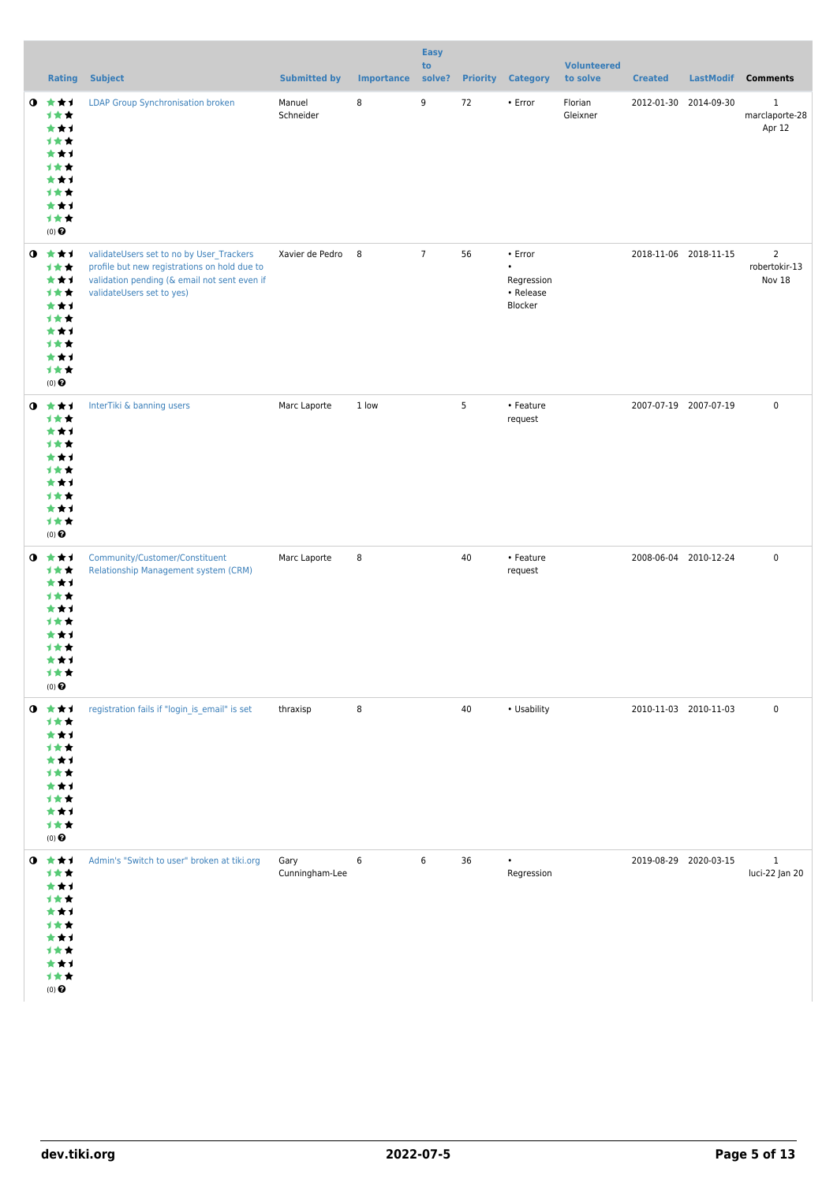|           |                                                                                               |                                                                                                                                                                       |                        |                   | <b>Easy</b><br>to |                 |                                                            | <b>Volunteered</b>  |                       |                       |                                           |
|-----------|-----------------------------------------------------------------------------------------------|-----------------------------------------------------------------------------------------------------------------------------------------------------------------------|------------------------|-------------------|-------------------|-----------------|------------------------------------------------------------|---------------------|-----------------------|-----------------------|-------------------------------------------|
|           |                                                                                               | <b>Rating Subject</b>                                                                                                                                                 | <b>Submitted by</b>    | <b>Importance</b> | solve?            | <b>Priority</b> | <b>Category</b>                                            | to solve            | <b>Created</b>        | LastModif             | <b>Comments</b>                           |
| $\bullet$ | ***<br>计女女<br>***<br>计女女<br>***<br>计女女<br>***<br>计女女<br>***<br>计女女<br>$(0)$ $\pmb{\Theta}$    | <b>LDAP Group Synchronisation broken</b>                                                                                                                              | Manuel<br>Schneider    | 8                 | 9                 | 72              | • Error                                                    | Florian<br>Gleixner |                       | 2012-01-30 2014-09-30 | $\mathbf 1$<br>marclaporte-28<br>Apr 12   |
| $\bullet$ | 大女子<br>计女女<br>***<br>计女女<br>***<br>计女女<br>***<br>计女女<br>***<br>计女女<br>$(0)$ $\pmb{\Theta}$    | validateUsers set to no by User_Trackers<br>profile but new registrations on hold due to<br>validation pending (& email not sent even if<br>validateUsers set to yes) | Xavier de Pedro 8      |                   | $\overline{7}$    | 56              | • Error<br>$\bullet$<br>Regression<br>• Release<br>Blocker |                     | 2018-11-06 2018-11-15 |                       | $\overline{2}$<br>robertokir-13<br>Nov 18 |
| $\bullet$ | 大女子<br>计女女<br>***<br>计女女<br>***<br>计女女<br>***<br>计女女<br>***<br>计女女<br>$(0)$ $\pmb{\Theta}$    | InterTiki & banning users                                                                                                                                             | Marc Laporte           | 1 low             |                   | 5               | • Feature<br>request                                       |                     | 2007-07-19 2007-07-19 |                       | $\pmb{0}$                                 |
| $\bullet$ | 大女子<br>计女女<br>***<br>计女女<br>***<br>计女女<br>***<br>计女女<br>***<br>计女女<br>$(0)$ $\odot$           | Community/Customer/Constituent<br>Relationship Management system (CRM)                                                                                                | Marc Laporte           | 8                 |                   | 40              | • Feature<br>request                                       |                     | 2008-06-04 2010-12-24 |                       | $\pmb{0}$                                 |
| $\bullet$ | ***<br>计女女<br>***<br>1 * *<br>★1<br>计女女<br>★★1<br>1 * *<br>***<br>计女女<br>$(0)$ $\odot$        | registration fails if "login_is_email" is set                                                                                                                         | thraxisp               | 8                 |                   | 40              | • Usability                                                |                     |                       | 2010-11-03 2010-11-03 | $\pmb{0}$                                 |
| $\bullet$ | ***<br>计女女<br>***<br>1**<br>★★1<br>计女女<br>★★1<br>计女女<br>***<br>计女女<br>$(0)$<br>$\pmb{\Theta}$ | Admin's "Switch to user" broken at tiki.org                                                                                                                           | Gary<br>Cunningham-Lee | 6                 | 6                 | 36              | $\bullet$<br>Regression                                    |                     | 2019-08-29 2020-03-15 |                       | $\,1$<br>luci-22 Jan 20                   |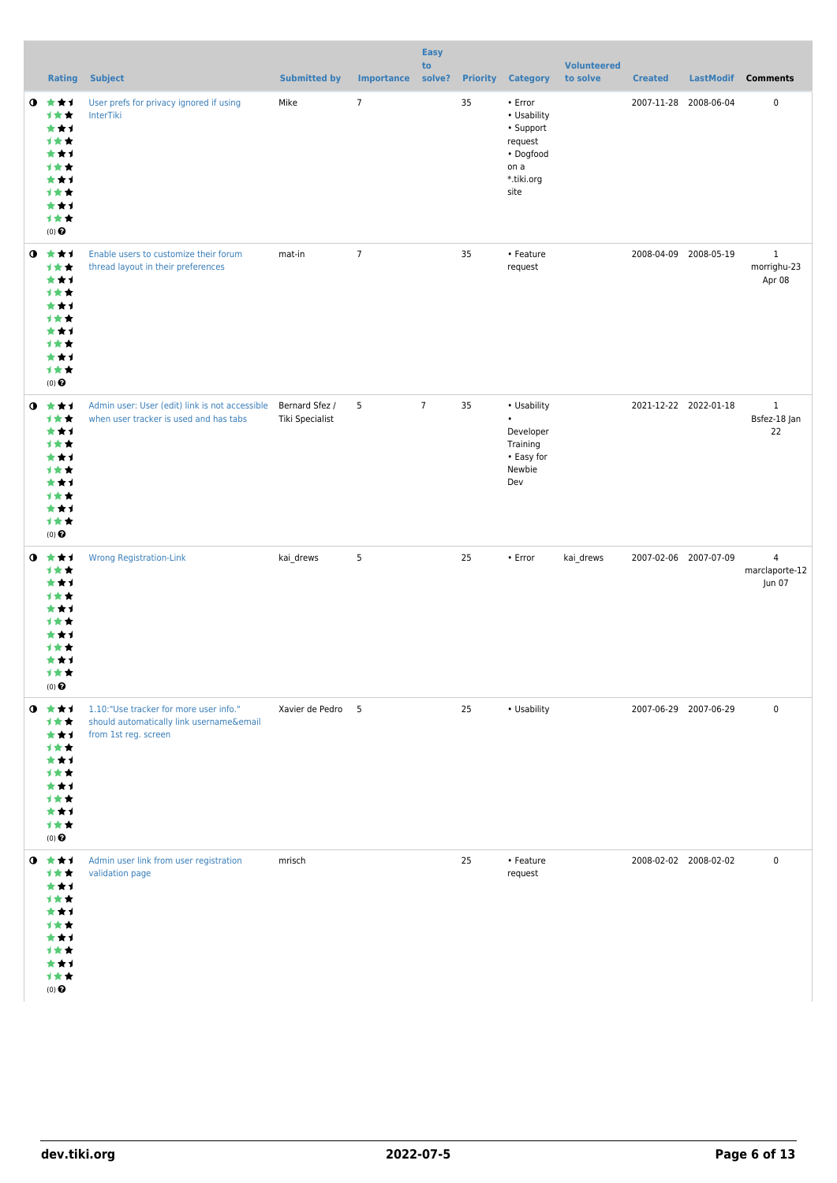|           |                                                                                     | <b>Rating Subject</b>                                                                                      | <b>Submitted by</b>               | <b>Importance</b> | <b>Easy</b><br>to<br>solve? | <b>Priority</b> | <b>Category</b>                                                                           | <b>Volunteered</b><br>to solve | <b>Created</b> |                       | LastModif Comments                         |
|-----------|-------------------------------------------------------------------------------------|------------------------------------------------------------------------------------------------------------|-----------------------------------|-------------------|-----------------------------|-----------------|-------------------------------------------------------------------------------------------|--------------------------------|----------------|-----------------------|--------------------------------------------|
| $\bullet$ | ***<br>1**<br>***<br>计女女<br>***<br>计女女<br>***<br>计女女<br>***<br>计女女<br>$(0)$ $\odot$ | User prefs for privacy ignored if using<br>InterTiki                                                       | Mike                              | $\overline{7}$    |                             | 35              | • Error<br>• Usability<br>• Support<br>request<br>• Dogfood<br>on a<br>*.tiki.org<br>site |                                | 2007-11-28     | 2008-06-04            | $\mathbf 0$                                |
| $\bullet$ | ★★★<br>计女女<br>***<br>计女女<br>***<br>计女女<br>***<br>计女女<br>***<br>计女女<br>$(0)$ $\odot$ | Enable users to customize their forum<br>thread layout in their preferences                                | mat-in                            | $\overline{7}$    |                             | 35              | • Feature<br>request                                                                      |                                |                | 2008-04-09 2008-05-19 | $\mathbf{1}$<br>morrighu-23<br>Apr 08      |
| $\bullet$ | ***<br>计女女<br>***<br>计女女<br>***<br>计女女<br>***<br>计女女<br>***<br>计女女<br>$(0)$ $\odot$ | Admin user: User (edit) link is not accessible<br>when user tracker is used and has tabs                   | Bernard Sfez /<br>Tiki Specialist | 5                 | $7\overline{ }$             | 35              | • Usability<br>$\bullet$<br>Developer<br>Training<br>• Easy for<br>Newbie<br>Dev          |                                |                | 2021-12-22 2022-01-18 | $\mathbf{1}$<br>Bsfez-18 Jan<br>22         |
| $\bullet$ | ***<br>计女女<br>***<br>计女女<br>***<br>计女女<br>***<br>计女女<br>***<br>计女女<br>$(0)$ $\odot$ | <b>Wrong Registration-Link</b>                                                                             | kai_drews                         | 5                 |                             | 25              | $\cdot$ Error                                                                             | kai_drews                      |                | 2007-02-06 2007-07-09 | $\overline{4}$<br>marclaporte-12<br>Jun 07 |
| $\bullet$ | ***<br>计女女<br>***<br>计女女<br>***<br>计女女<br>***<br>计女女<br>***<br>计女女<br>$(0)$ $\odot$ | 1.10:"Use tracker for more user info."<br>should automatically link username&email<br>from 1st reg. screen | Xavier de Pedro                   | $5^{\circ}$       |                             | 25              | • Usability                                                                               |                                |                | 2007-06-29 2007-06-29 | $\mathsf 0$                                |
| $\bullet$ | ***<br>计女女<br>***<br>计女女<br>***<br>计女女<br>***<br>计女女<br>***<br>计女女<br>$(0)$ $\odot$ | Admin user link from user registration<br>validation page                                                  | mrisch                            |                   |                             | 25              | • Feature<br>request                                                                      |                                |                | 2008-02-02 2008-02-02 | $\mathsf 0$                                |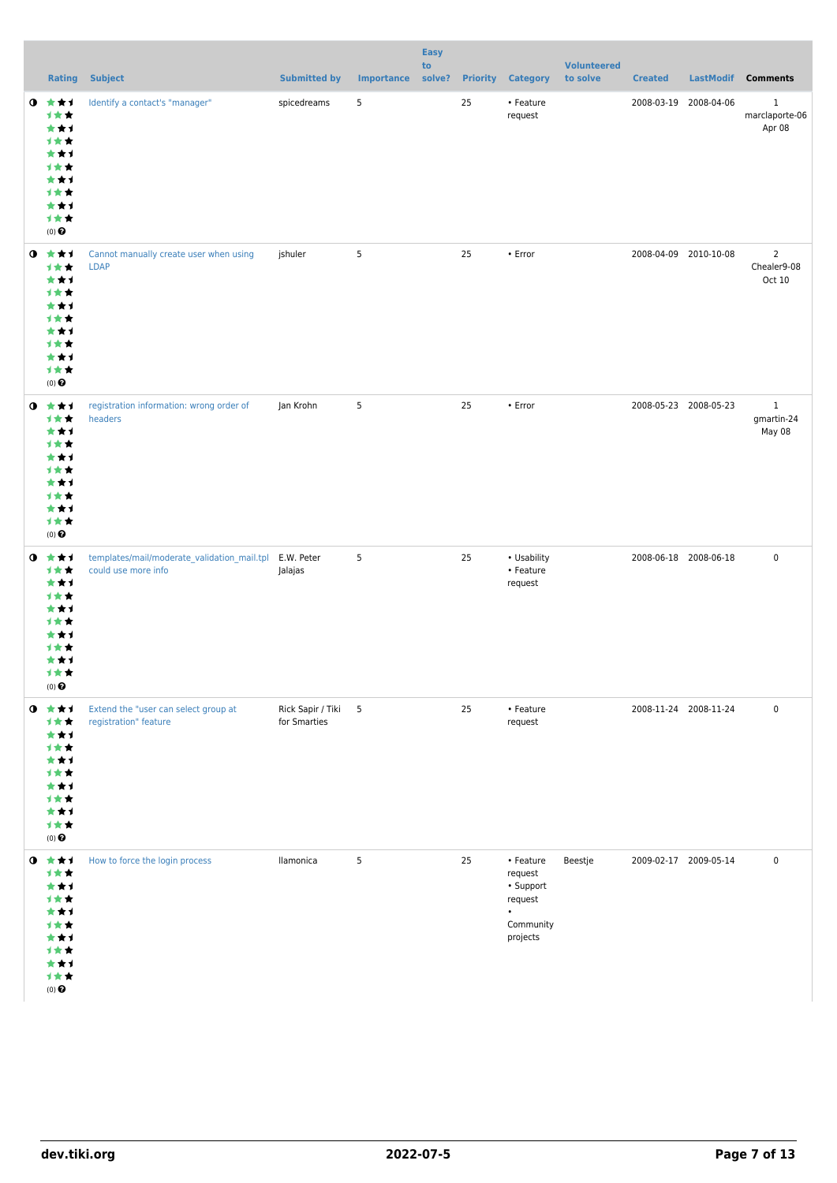|           |                                                                                               |                                                                    |                                     |                   | <b>Easy</b><br>to |                 |                                                                                    | <b>Volunteered</b> |                       |            |                                         |
|-----------|-----------------------------------------------------------------------------------------------|--------------------------------------------------------------------|-------------------------------------|-------------------|-------------------|-----------------|------------------------------------------------------------------------------------|--------------------|-----------------------|------------|-----------------------------------------|
|           |                                                                                               | <b>Rating Subject</b>                                              | <b>Submitted by</b>                 | <b>Importance</b> | solve?            | <b>Priority</b> | <b>Category</b>                                                                    | to solve           | <b>Created</b>        |            | LastModif Comments                      |
| $\bullet$ | ***<br>计女女<br>***<br>计女女<br>***<br>计女女<br>***<br>计女女<br>***<br>计女女<br>$(0)$<br>$\pmb{\Theta}$ | Identify a contact's "manager"                                     | spicedreams                         | 5                 |                   | 25              | • Feature<br>request                                                               |                    | 2008-03-19            | 2008-04-06 | $\mathbf 1$<br>marclaporte-06<br>Apr 08 |
| $\bullet$ | ***<br>计女女<br>***<br>计女女<br>***<br>计女女<br>***<br>计女女<br>***<br>计女女<br>$(0)$<br>$\pmb{\Theta}$ | Cannot manually create user when using<br><b>LDAP</b>              | jshuler                             | 5                 |                   | 25              | $\cdot$ Error                                                                      |                    | 2008-04-09 2010-10-08 |            | $\overline{2}$<br>Chealer9-08<br>Oct 10 |
| $\bullet$ | ***<br>计女女<br>***<br>计女女<br>***<br>计女女<br>***<br>计女女<br>***<br>计女女<br>$(0)$<br>$\pmb{\Theta}$ | registration information: wrong order of<br>headers                | Jan Krohn                           | 5                 |                   | 25              | • Error                                                                            |                    | 2008-05-23 2008-05-23 |            | $\mathbf{1}$<br>gmartin-24<br>May 08    |
| $\bullet$ | ***<br>计女女<br>***<br>计女女<br>***<br>计女女<br>***<br>计女女<br>***<br>计女女<br>$(0)$<br>$\pmb{\Theta}$ | templates/mail/moderate_validation_mail.tpl<br>could use more info | E.W. Peter<br>Jalajas               | 5                 |                   | 25              | • Usability<br>• Feature<br>request                                                |                    | 2008-06-18 2008-06-18 |            | $\pmb{0}$                               |
| $\bullet$ | 食食す<br>计女女<br>***<br>计女女<br>***<br>计女女<br>***<br>计女女<br>***<br>计女女<br>$(0)$ $\odot$           | Extend the "user can select group at<br>registration" feature      | Rick Sapir / Tiki 5<br>for Smarties |                   |                   | 25              | • Feature<br>request                                                               |                    | 2008-11-24 2008-11-24 |            | $\mathbf 0$                             |
| $\bullet$ | 大女子<br>1★★<br>***<br>计女女<br>***<br>计女女<br>***<br>计女女<br>***<br>计女女<br>$(0)$ $\odot$           | How to force the login process                                     | llamonica                           | 5                 |                   | 25              | • Feature<br>request<br>• Support<br>request<br>$\bullet$<br>Community<br>projects | Beestje            | 2009-02-17 2009-05-14 |            | $\mathbf 0$                             |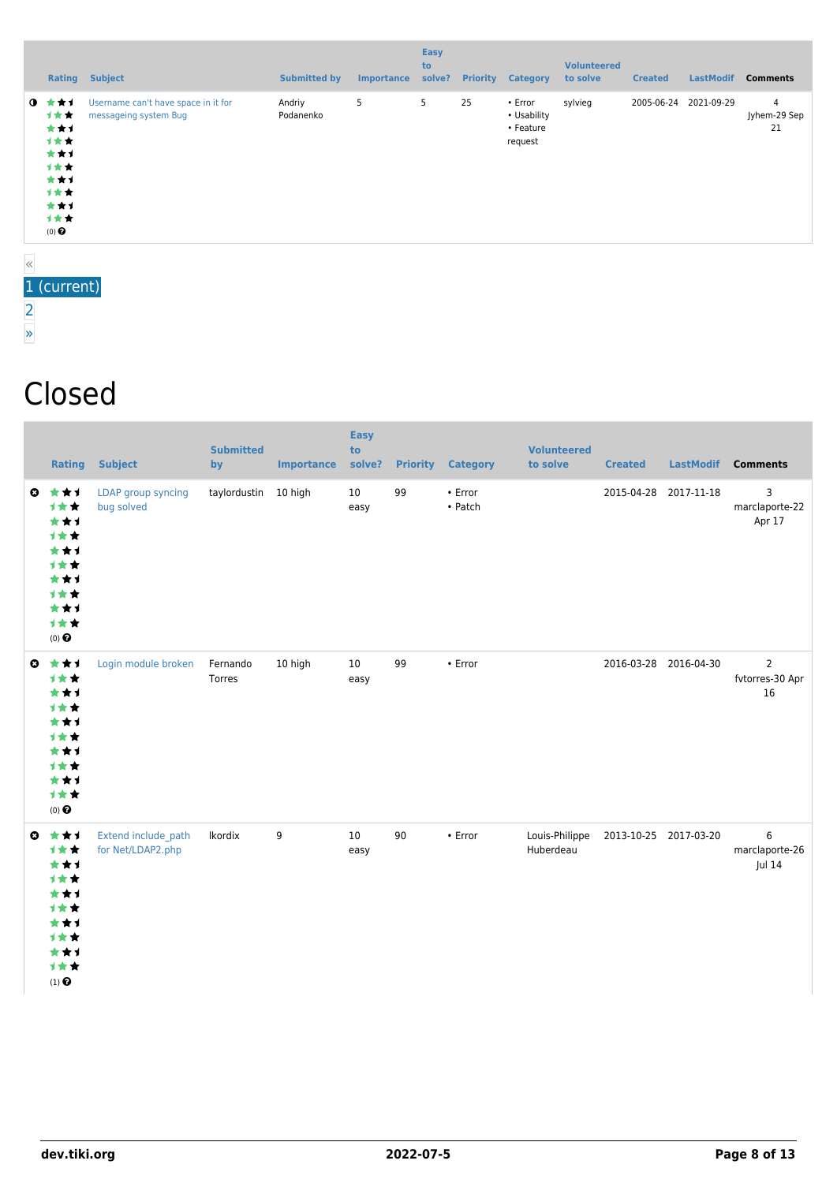|                                                                                               | <b>Rating Subject</b>                                        | <b>Submitted by</b> | <b>Importance</b> | <b>Easy</b><br>to<br>solve? | <b>Priority</b> | <b>Category</b>                                | <b>Volunteered</b><br>to solve | <b>Created</b> | <b>LastModif</b>      | <b>Comments</b>         |
|-----------------------------------------------------------------------------------------------|--------------------------------------------------------------|---------------------|-------------------|-----------------------------|-----------------|------------------------------------------------|--------------------------------|----------------|-----------------------|-------------------------|
| $0 \pm \pm 1$<br>计女女<br>***<br>→★★<br>***<br>1★★<br>***<br>计女女<br>***<br>计女女<br>$(0)$ $\odot$ | Username can't have space in it for<br>messageing system Bug | Andriy<br>Podanenko | 5                 | 5                           | 25              | • Error<br>• Usability<br>• Feature<br>request | sylvieg                        |                | 2005-06-24 2021-09-29 | 4<br>Jyhem-29 Sep<br>21 |
|                                                                                               |                                                              |                     |                   |                             |                 |                                                |                                |                |                       |                         |

#### « 1 (current) [2](https://dev.tiki.org/tiki-print.php?page=User+Administration&tr_offset2=20) [»](https://dev.tiki.org/tiki-print.php?page=User+Administration&tr_offset2=20)

### Closed

| Rating                                                                                                            | <b>Subject</b>                           | <b>Submitted</b><br>by | <b>Importance</b> | <b>Easy</b><br>to<br>solve? |    | <b>Priority Category</b> | <b>Volunteered</b><br>to solve | <b>Created</b>        | <b>LastModif</b>      | <b>Comments</b>                         |
|-------------------------------------------------------------------------------------------------------------------|------------------------------------------|------------------------|-------------------|-----------------------------|----|--------------------------|--------------------------------|-----------------------|-----------------------|-----------------------------------------|
| $0 \pm \pm 1$<br>计女女<br>***<br>计女女<br>***<br>计女女<br>***<br>1★★<br>***<br>1★★<br>(0) $\pmb{\Theta}$                | LDAP group syncing<br>bug solved         | taylordustin           | 10 high           | 10<br>easy                  | 99 | • Error<br>• Patch       |                                |                       | 2015-04-28 2017-11-18 | 3<br>marclaporte-22<br>Apr 17           |
| $0$ $\star$ $\star$ $\star$<br>计女女<br>***<br>计女女<br>***<br>计女女<br>***<br>计女女<br>***<br>1★★<br>$(0)$ $\odot$       | Login module broken                      | Fernando<br>Torres     | 10 high           | 10<br>easy                  | 99 | $\cdot$ Error            |                                |                       | 2016-03-28 2016-04-30 | $\overline{2}$<br>fvtorres-30 Apr<br>16 |
| $0$ $\star$ $\star$ $1$<br>1**<br>***<br>计女女<br>***<br>1**<br>***<br>1★★<br>***<br>计女女<br>$(1)$<br>$\pmb{\Theta}$ | Extend include_path<br>for Net/LDAP2.php | Ikordix                | 9                 | 10<br>easy                  | 90 | • Error                  | Louis-Philippe<br>Huberdeau    | 2013-10-25 2017-03-20 |                       | 6<br>marclaporte-26<br>Jul 14           |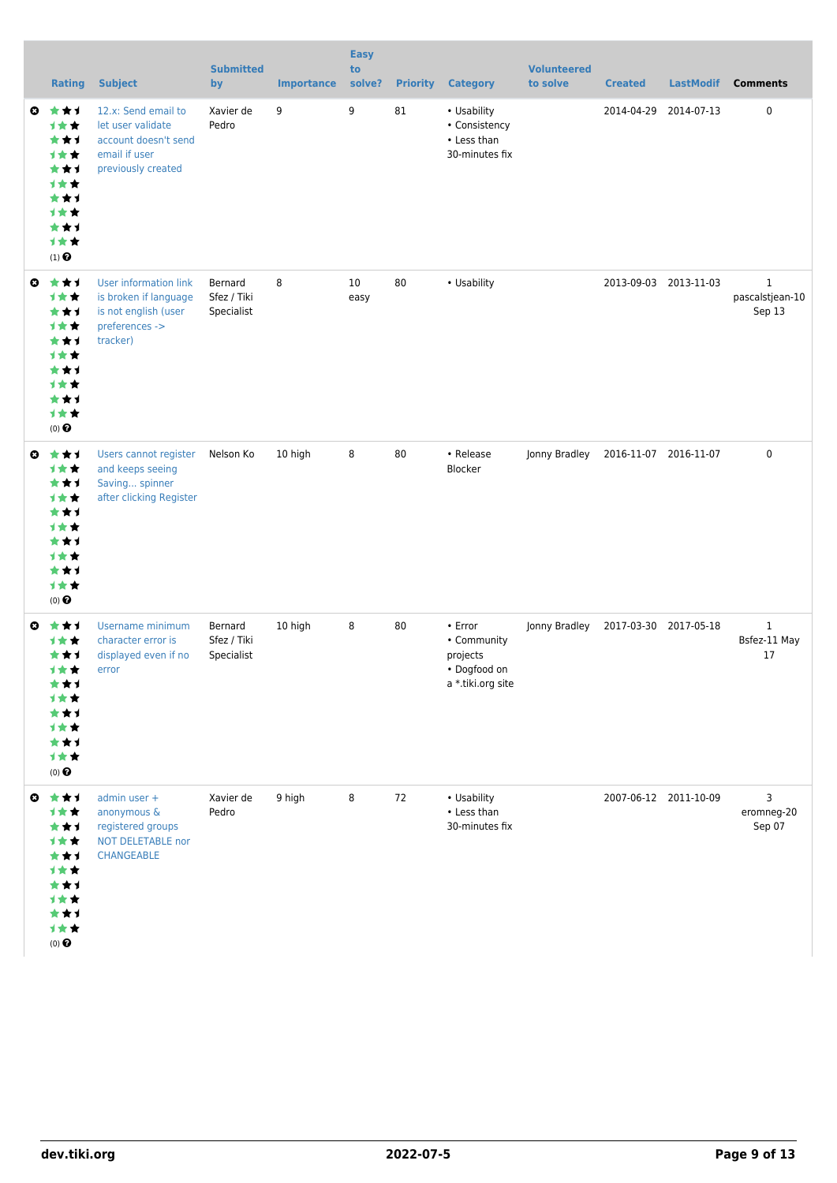|              | <b>Rating</b>                                                                                                | <b>Subject</b>                                                                                              | <b>Submitted</b><br>by               | <b>Importance</b> | <b>Easy</b><br>to<br>solve? | <b>Priority</b> | <b>Category</b>                                                         | <b>Volunteered</b><br>to solve | <b>Created</b>        | <b>LastModif</b>      | <b>Comments</b>                           |
|--------------|--------------------------------------------------------------------------------------------------------------|-------------------------------------------------------------------------------------------------------------|--------------------------------------|-------------------|-----------------------------|-----------------|-------------------------------------------------------------------------|--------------------------------|-----------------------|-----------------------|-------------------------------------------|
| $\mathbf{O}$ | 大大士<br>1★★<br>***<br>计女女<br>***<br>1★★<br>***<br>计女女<br>***<br>计女女<br>$(1)$ <sup><math>\odot</math></sup>    | 12.x: Send email to<br>let user validate<br>account doesn't send<br>email if user<br>previously created     | Xavier de<br>Pedro                   | 9                 | 9                           | 81              | • Usability<br>• Consistency<br>• Less than<br>30-minutes fix           |                                | 2014-04-29            | 2014-07-13            | $\mathbf 0$                               |
| $\bullet$    | ***<br>1★★<br>***<br>计女女<br>***<br>计女女<br>***<br>计女女<br>***<br>1★★<br>$(0)$ $\Theta$                         | <b>User information link</b><br>is broken if language<br>is not english (user<br>preferences -><br>tracker) | Bernard<br>Sfez / Tiki<br>Specialist | 8                 | 10<br>easy                  | 80              | • Usability                                                             |                                |                       | 2013-09-03 2013-11-03 | $\mathbf{1}$<br>pascalstjean-10<br>Sep 13 |
| $\mathbf{o}$ | ***<br>1★★<br>***<br>1★★<br>***<br>计女女<br>***<br>计女女<br>***<br>1★★<br>$(0)$ $\odot$                          | Users cannot register<br>and keeps seeing<br>Saving spinner<br>after clicking Register                      | Nelson Ko                            | 10 high           | 8                           | 80              | • Release<br>Blocker                                                    | Jonny Bradley                  |                       | 2016-11-07 2016-11-07 | $\pmb{0}$                                 |
| O            | ***<br><b>1**</b><br>***<br>计女女<br>***<br><b>1 * *</b><br>***<br>计女女<br>***<br>计女女<br>$(0)$ $\bigodot$       | Username minimum<br>character error is<br>displayed even if no<br>error                                     | Bernard<br>Sfez / Tiki<br>Specialist | 10 high           | 8                           | 80              | • Error<br>• Community<br>projects<br>• Dogfood on<br>a *.tiki.org site | Jonny Bradley                  | 2017-03-30 2017-05-18 |                       | $\mathbf{1}$<br>Bsfez-11 May<br>17        |
|              | $0 \star \star \star$<br>***<br>***<br>1★★<br>***<br>1★★<br>***<br>计女女<br>***<br>计女女<br>$(0)$ $\pmb{\Theta}$ | admin user +<br>anonymous &<br>registered groups<br>NOT DELETABLE nor<br><b>CHANGEABLE</b>                  | Xavier de<br>Pedro                   | 9 high            | 8                           | 72              | • Usability<br>• Less than<br>30-minutes fix                            |                                |                       | 2007-06-12 2011-10-09 | 3<br>eromneg-20<br>Sep 07                 |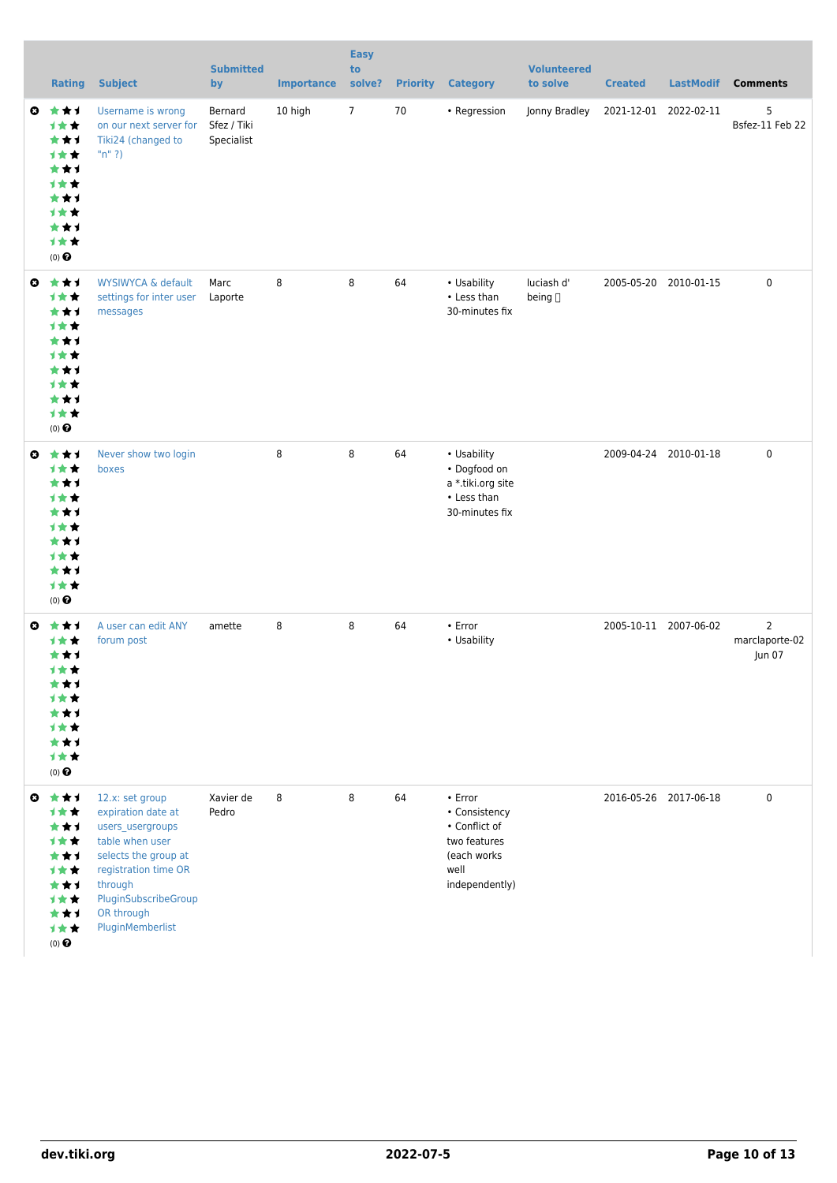| <b>Rating</b>                                                                                                       | <b>Subject</b>                                                                                                                                                                                    | <b>Submitted</b><br>by               | <b>Importance</b> | <b>Easy</b><br>to<br>solve? |    | <b>Priority Category</b>                                                                           | <b>Volunteered</b><br>to solve | <b>Created</b> | <b>LastModif</b>      | <b>Comments</b>               |
|---------------------------------------------------------------------------------------------------------------------|---------------------------------------------------------------------------------------------------------------------------------------------------------------------------------------------------|--------------------------------------|-------------------|-----------------------------|----|----------------------------------------------------------------------------------------------------|--------------------------------|----------------|-----------------------|-------------------------------|
| ***<br>O<br>1★★<br>***<br>1**<br>***<br>1**<br>***<br><b>1**</b><br>***<br>1★★<br>$(0)$ $\odot$                     | Username is wrong<br>on our next server for<br>Tiki24 (changed to<br>" $n$ " ?)                                                                                                                   | Bernard<br>Sfez / Tiki<br>Specialist | 10 high           | $\overline{7}$              | 70 | • Regression                                                                                       | Jonny Bradley                  |                | 2021-12-01 2022-02-11 | 5<br>Bsfez-11 Feb 22          |
| ***<br>$\boldsymbol{\omega}$<br><b>1★★</b><br>***<br>1★★<br>***<br>计女女<br>***<br>1**<br>***<br>1★★<br>$(0)$ $\odot$ | <b>WYSIWYCA &amp; default</b><br>settings for inter user<br>messages                                                                                                                              | Marc<br>Laporte                      | 8                 | 8                           | 64 | • Usability<br>• Less than<br>30-minutes fix                                                       | luciash d'<br>being []         |                | 2005-05-20 2010-01-15 | 0                             |
| ***<br>O<br>1★★<br>***<br><b>1**</b><br>***<br><b>1**</b><br>***<br>1**<br>***<br>1★★<br>$(0)$ $\odot$              | Never show two login<br>boxes                                                                                                                                                                     |                                      | 8                 | 8                           | 64 | • Usability<br>• Dogfood on<br>a *.tiki.org site<br>• Less than<br>30-minutes fix                  |                                |                | 2009-04-24 2010-01-18 | 0                             |
| ***<br>O<br>1**<br>***<br>计女女<br>***<br>1**<br>***<br>1**<br>***<br>1★★<br>$(0)$ $\Theta$                           | A user can edit ANY<br>forum post                                                                                                                                                                 | amette                               | 8                 | 8                           | 64 | $\cdot$ Error<br>• Usability                                                                       |                                |                | 2005-10-11 2007-06-02 | 2<br>marclaporte-02<br>Jun 07 |
| $0 \star \star \star$<br>计女女<br>***<br><b>1**</b><br>***<br>1**<br>***<br>1★★<br>***<br>计女女<br>$(0)$ $\Theta$       | 12.x: set group<br>expiration date at<br>users_usergroups<br>table when user<br>selects the group at<br>registration time OR<br>through<br>PluginSubscribeGroup<br>OR through<br>PluginMemberlist | Xavier de<br>Pedro                   | 8                 | 8                           | 64 | • Error<br>• Consistency<br>• Conflict of<br>two features<br>(each works<br>well<br>independently) |                                |                | 2016-05-26 2017-06-18 | 0                             |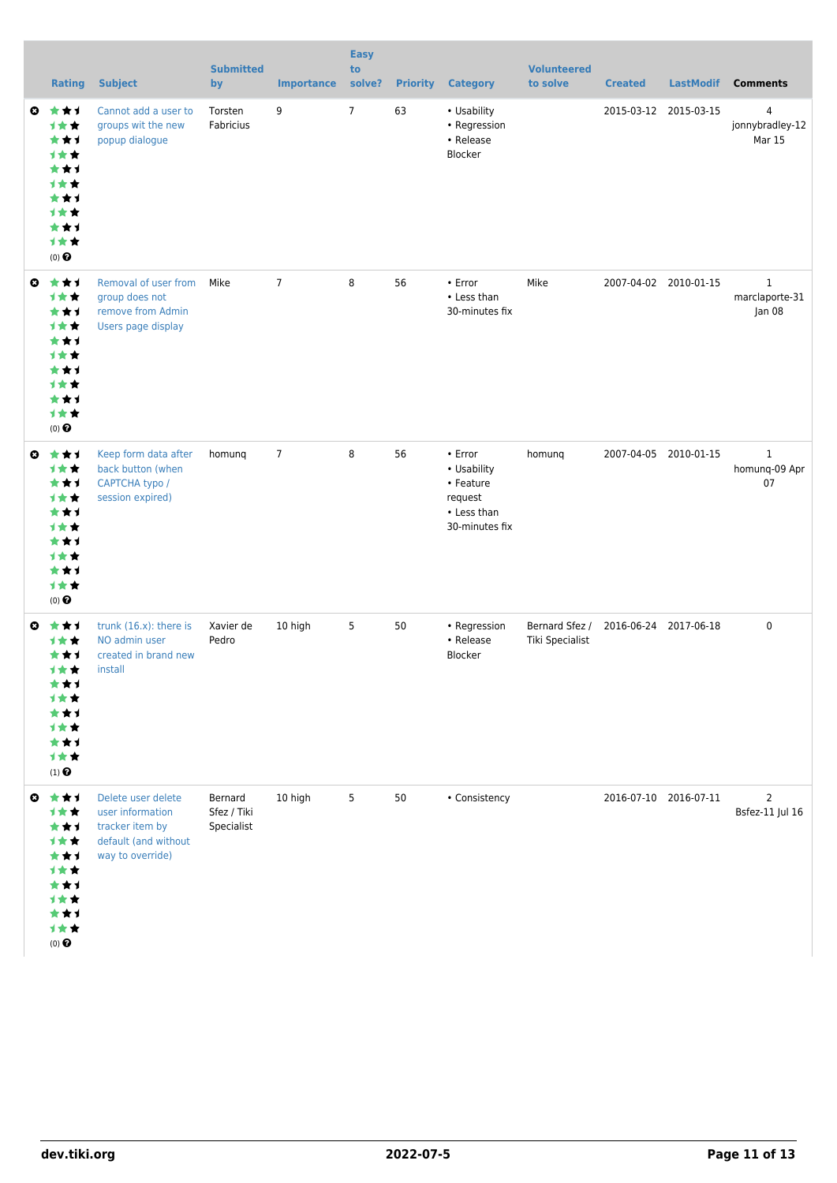|                       | <b>Rating</b>                                                                                                                  | <b>Subject</b>                                                                                        | <b>Submitted</b><br>by               | <b>Importance</b> | <b>Easy</b><br>to<br>solve? | <b>Priority</b> | <b>Category</b>                                                                 | <b>Volunteered</b><br>to solve    | <b>Created</b> | <b>LastModif</b>      | <b>Comments</b>                          |
|-----------------------|--------------------------------------------------------------------------------------------------------------------------------|-------------------------------------------------------------------------------------------------------|--------------------------------------|-------------------|-----------------------------|-----------------|---------------------------------------------------------------------------------|-----------------------------------|----------------|-----------------------|------------------------------------------|
| O                     | ***<br>1★★<br>***<br><b>1**</b><br>***<br><b>1**</b><br>***<br><b>1**</b><br>***<br>计女女<br>$(0)$ <sup><math>\odot</math></sup> | Cannot add a user to<br>groups wit the new<br>popup dialogue                                          | Torsten<br>Fabricius                 | 9                 | $\overline{7}$              | 63              | • Usability<br>• Regression<br>• Release<br>Blocker                             |                                   |                | 2015-03-12 2015-03-15 | 4<br>jonnybradley-12<br>Mar 15           |
| $\bullet$             | ***<br>1★★<br>***<br><b>1**</b><br>***<br><b>1**</b><br>***<br><b>1**</b><br>***<br>计女女<br>$(0)$ $\odot$                       | Removal of user from<br>group does not<br>remove from Admin<br>Users page display                     | Mike                                 | $\overline{7}$    | 8                           | 56              | • Error<br>• Less than<br>30-minutes fix                                        | Mike                              |                | 2007-04-02 2010-01-15 | $\mathbf{1}$<br>marclaporte-31<br>Jan 08 |
| $\boldsymbol{\omega}$ | ***<br>1★★<br>***<br>计女女<br>***<br><b>1**</b><br>***<br><b>1**</b><br>***<br>1★★<br>$(0)$ $\odot$                              | Keep form data after<br>back button (when<br>CAPTCHA typo /<br>session expired)                       | homung                               | $\overline{7}$    | 8                           | 56              | • Error<br>• Usability<br>• Feature<br>request<br>• Less than<br>30-minutes fix | homung                            |                | 2007-04-05 2010-01-15 | $\mathbf{1}$<br>homunq-09 Apr<br>07      |
| O                     | ***<br>1 * *<br>***<br>计女女<br>***<br>⊣∗<br>***<br><b>1★★</b><br>***<br>计女女<br>$(1)$ $\odot$                                    | trunk $(16.x)$ : there is<br>NO admin user<br>created in brand new<br>install                         | Xavier de<br>Pedro                   | 10 high           | 5                           | 50              | • Regression<br>• Release<br>Blocker                                            | Bernard Sfez /<br>Tiki Specialist |                | 2016-06-24 2017-06-18 | 0                                        |
|                       | $0 \star \star 1$<br><b>1★★</b><br>***<br>计女女<br>***<br>计女女<br>***<br>计女女<br>***<br>计女女<br>$(0)$ $\bigodot$                    | Delete user delete<br>user information<br>tracker item by<br>default (and without<br>way to override) | Bernard<br>Sfez / Tiki<br>Specialist | 10 high           | 5                           | 50              | • Consistency                                                                   |                                   |                | 2016-07-10 2016-07-11 | $\overline{2}$<br>Bsfez-11 Jul 16        |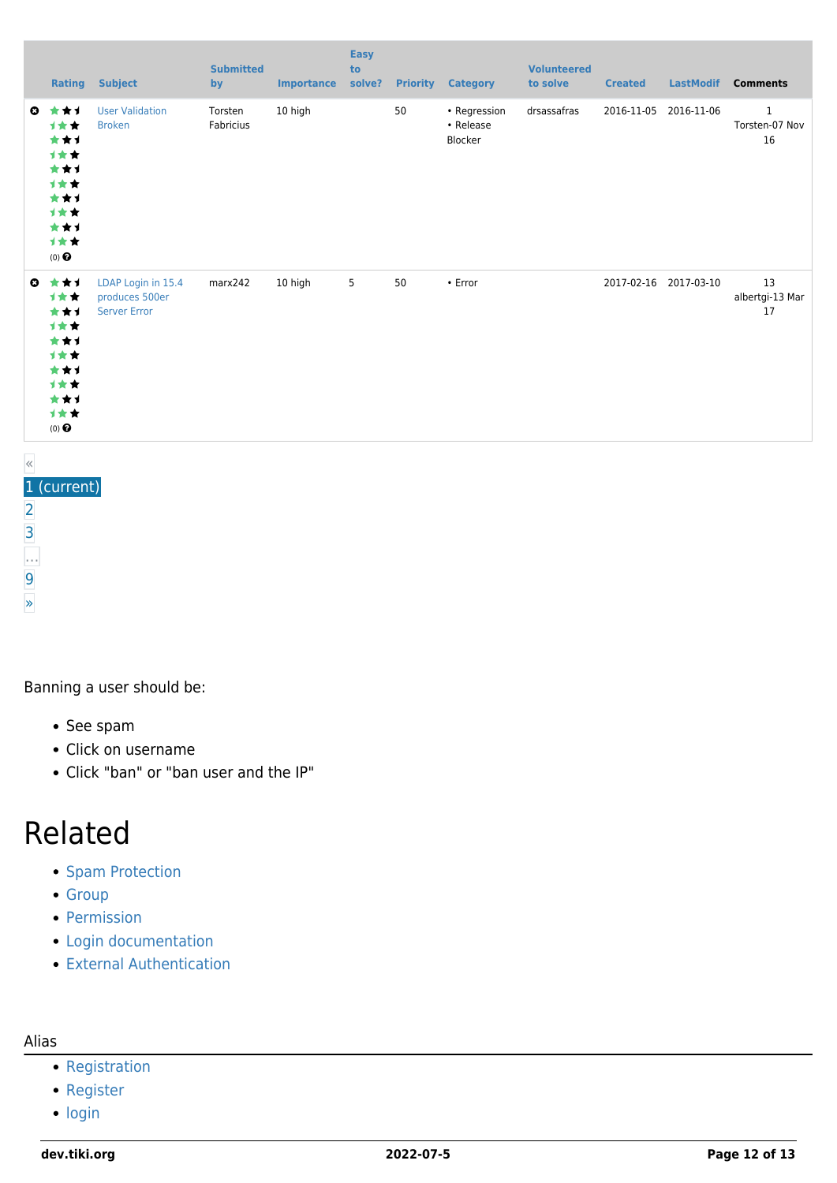|              | <b>Rating</b>                                                                                     | <b>Subject</b>                                              | <b>Submitted</b><br>by | <b>Importance</b> | <b>Easy</b><br>to<br>solve? |    | <b>Priority Category</b>             | <b>Volunteered</b><br>to solve | <b>Created</b> | <b>LastModif</b>      | <b>Comments</b>                      |
|--------------|---------------------------------------------------------------------------------------------------|-------------------------------------------------------------|------------------------|-------------------|-----------------------------|----|--------------------------------------|--------------------------------|----------------|-----------------------|--------------------------------------|
| $\bullet$    | ***<br><b>1**</b><br>***<br>计女女<br>***<br>计女女<br>***<br>计女女<br>***<br>计女女<br>$(0)$ $\odot$        | <b>User Validation</b><br><b>Broken</b>                     | Torsten<br>Fabricius   | 10 high           |                             | 50 | • Regression<br>• Release<br>Blocker | drsassafras                    |                | 2016-11-05 2016-11-06 | $\mathbf{1}$<br>Torsten-07 Nov<br>16 |
| $\mathbf{c}$ | ***<br><b>1**</b><br>***<br>计女女<br>***<br>计女女<br>***<br>计女女<br>***<br><b>1**</b><br>$(0)$ $\odot$ | LDAP Login in 15.4<br>produces 500er<br><b>Server Error</b> | marx242                | 10 high           | $5\phantom{.0}$             | 50 | $\cdot$ Error                        |                                |                | 2017-02-16 2017-03-10 | 13<br>albertgi-13 Mar<br>17          |

### « 1 (current) [2](https://dev.tiki.org/tiki-print.php?page=User+Administration&tr_offset3=20) [3](https://dev.tiki.org/tiki-print.php?page=User+Administration&tr_offset3=40) … [9](https://dev.tiki.org/tiki-print.php?page=User+Administration&tr_offset3=160) [»](https://dev.tiki.org/tiki-print.php?page=User+Administration&tr_offset3=20)

Banning a user should be:

- See spam
- Click on username
- Click "ban" or "ban user and the IP"

### Related

- [Spam Protection](https://dev.tiki.org/Spam-protection)
- [Group](https://dev.tiki.org/Group)
- [Permission](https://dev.tiki.org/Permission)
- [Login documentation](https://dev.tiki.org/Login-documentation)
- [External Authentication](https://dev.tiki.org/External-Authentication)

#### Alias

- [Registration](https://dev.tiki.org/Registration)
- [Register](https://dev.tiki.org/Register)
- [login](https://dev.tiki.org/login)